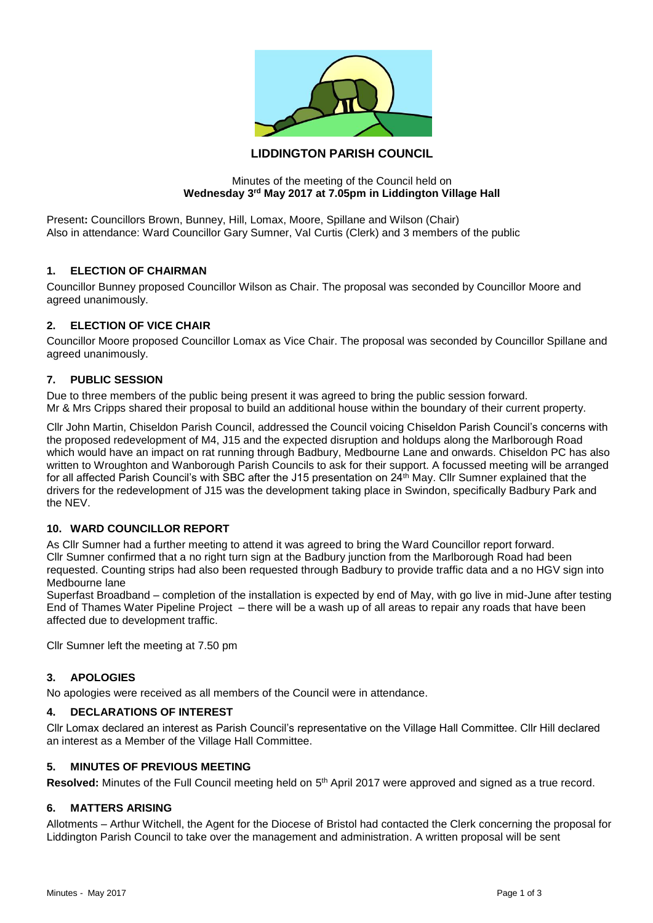

# **LIDDINGTON PARISH COUNCIL**

#### Minutes of the meeting of the Council held on **Wednesday 3rd May 2017 at 7.05pm in Liddington Village Hall**

Present**:** Councillors Brown, Bunney, Hill, Lomax, Moore, Spillane and Wilson (Chair) Also in attendance: Ward Councillor Gary Sumner, Val Curtis (Clerk) and 3 members of the public

#### **1. ELECTION OF CHAIRMAN**

Councillor Bunney proposed Councillor Wilson as Chair. The proposal was seconded by Councillor Moore and agreed unanimously.

#### **2. ELECTION OF VICE CHAIR**

Councillor Moore proposed Councillor Lomax as Vice Chair. The proposal was seconded by Councillor Spillane and agreed unanimously.

#### **7. PUBLIC SESSION**

Due to three members of the public being present it was agreed to bring the public session forward. Mr & Mrs Cripps shared their proposal to build an additional house within the boundary of their current property.

Cllr John Martin, Chiseldon Parish Council, addressed the Council voicing Chiseldon Parish Council's concerns with the proposed redevelopment of M4, J15 and the expected disruption and holdups along the Marlborough Road which would have an impact on rat running through Badbury, Medbourne Lane and onwards. Chiseldon PC has also written to Wroughton and Wanborough Parish Councils to ask for their support. A focussed meeting will be arranged for all affected Parish Council's with SBC after the J15 presentation on 24<sup>th</sup> May. Cllr Sumner explained that the drivers for the redevelopment of J15 was the development taking place in Swindon, specifically Badbury Park and the NEV.

## **10. WARD COUNCILLOR REPORT**

As Cllr Sumner had a further meeting to attend it was agreed to bring the Ward Councillor report forward. Cllr Sumner confirmed that a no right turn sign at the Badbury junction from the Marlborough Road had been requested. Counting strips had also been requested through Badbury to provide traffic data and a no HGV sign into Medbourne lane

Superfast Broadband – completion of the installation is expected by end of May, with go live in mid-June after testing End of Thames Water Pipeline Project – there will be a wash up of all areas to repair any roads that have been affected due to development traffic.

Cllr Sumner left the meeting at 7.50 pm

#### **3. APOLOGIES**

No apologies were received as all members of the Council were in attendance.

## **4. DECLARATIONS OF INTEREST**

Cllr Lomax declared an interest as Parish Council's representative on the Village Hall Committee. Cllr Hill declared an interest as a Member of the Village Hall Committee.

#### **5. MINUTES OF PREVIOUS MEETING**

Resolved: Minutes of the Full Council meeting held on 5<sup>th</sup> April 2017 were approved and signed as a true record.

#### **6. MATTERS ARISING**

Allotments – Arthur Witchell, the Agent for the Diocese of Bristol had contacted the Clerk concerning the proposal for Liddington Parish Council to take over the management and administration. A written proposal will be sent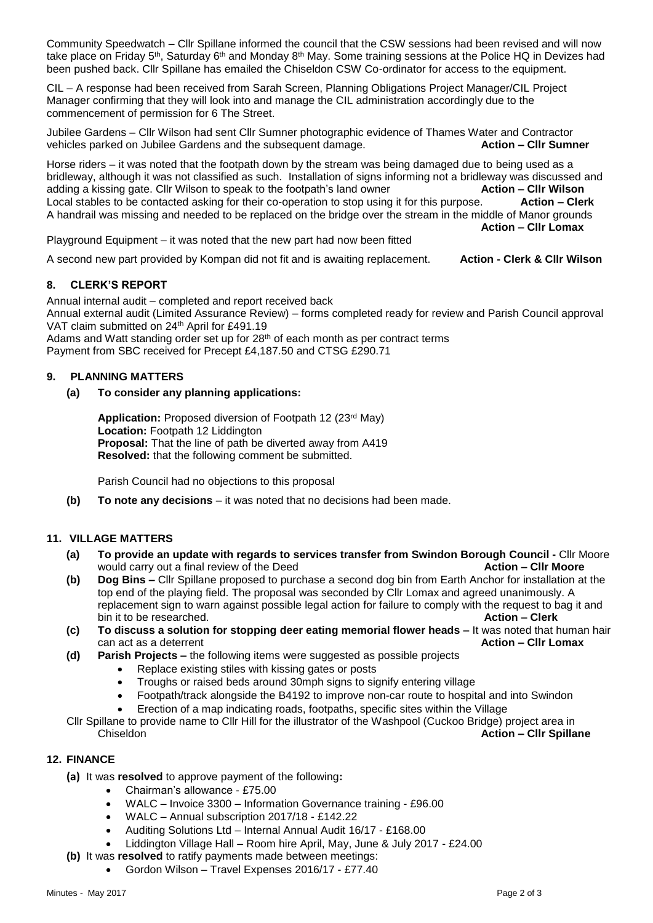Community Speedwatch – Cllr Spillane informed the council that the CSW sessions had been revised and will now take place on Friday 5<sup>th</sup>, Saturday 6<sup>th</sup> and Monday 8<sup>th</sup> May. Some training sessions at the Police HQ in Devizes had been pushed back. Cllr Spillane has emailed the Chiseldon CSW Co-ordinator for access to the equipment.

CIL – A response had been received from Sarah Screen, Planning Obligations Project Manager/CIL Project Manager confirming that they will look into and manage the CIL administration accordingly due to the commencement of permission for 6 The Street.

Jubilee Gardens – Cllr Wilson had sent Cllr Sumner photographic evidence of Thames Water and Contractor vehicles parked on Jubilee Gardens and the subsequent damage. **Action – Cllr Sumner**

Horse riders – it was noted that the footpath down by the stream was being damaged due to being used as a bridleway, although it was not classified as such. Installation of signs informing not a bridleway was discussed and adding a kissing gate. Cllr Wilson to speak to the footpath's land owner **Action – Cllr Wilson** Local stables to be contacted asking for their co-operation to stop using it for this purpose. **Action – Clerk** A handrail was missing and needed to be replaced on the bridge over the stream in the middle of Manor grounds **Action – Cllr Lomax**

Playground Equipment – it was noted that the new part had now been fitted

A second new part provided by Kompan did not fit and is awaiting replacement. **Action - Clerk & Cllr Wilson**

# **8. CLERK'S REPORT**

Annual internal audit – completed and report received back Annual external audit (Limited Assurance Review) – forms completed ready for review and Parish Council approval

VAT claim submitted on 24th April for £491.19

Adams and Watt standing order set up for  $28<sup>th</sup>$  of each month as per contract terms

Payment from SBC received for Precept £4,187.50 and CTSG £290.71

## **9. PLANNING MATTERS**

## **(a) To consider any planning applications:**

**Application:** Proposed diversion of Footpath 12 (23rd May) **Location:** Footpath 12 Liddington **Proposal:** That the line of path be diverted away from A419 **Resolved:** that the following comment be submitted.

Parish Council had no objections to this proposal

**(b) To note any decisions** – it was noted that no decisions had been made.

## **11. VILLAGE MATTERS**

- **(a) To provide an update with regards to services transfer from Swindon Borough Council -** Cllr Moore would carry out a final review of the Deed **Action – Clir Moore Action – Clir Moore**
- **(b) Dog Bins –** Cllr Spillane proposed to purchase a second dog bin from Earth Anchor for installation at the top end of the playing field. The proposal was seconded by Cllr Lomax and agreed unanimously. A replacement sign to warn against possible legal action for failure to comply with the request to bag it and bin it to be researched. **Action – Clerk**
- **(c) To discuss a solution for stopping deer eating memorial flower heads –** It was noted that human hair can act as a deterrent **Action – Cllr Lomax**
- **(d) Parish Projects –** the following items were suggested as possible projects
	- Replace existing stiles with kissing gates or posts
	- Troughs or raised beds around 30mph signs to signify entering village
	- Footpath/track alongside the B4192 to improve non-car route to hospital and into Swindon
	- Erection of a map indicating roads, footpaths, specific sites within the Village

Cllr Spillane to provide name to Cllr Hill for the illustrator of the Washpool (Cuckoo Bridge) project area in Chiseldon **Action – Cllr Spillane**

## **12. FINANCE**

- **(a)** It was **resolved** to approve payment of the following**:**
	- Chairman's allowance £75.00
	- WALC Invoice 3300 Information Governance training £96.00
	- WALC Annual subscription 2017/18 £142.22
	- Auditing Solutions Ltd Internal Annual Audit 16/17 £168.00
	- Liddington Village Hall Room hire April, May, June & July 2017 £24.00
- **(b)** It was **resolved** to ratify payments made between meetings:
	- Gordon Wilson Travel Expenses 2016/17 £77.40